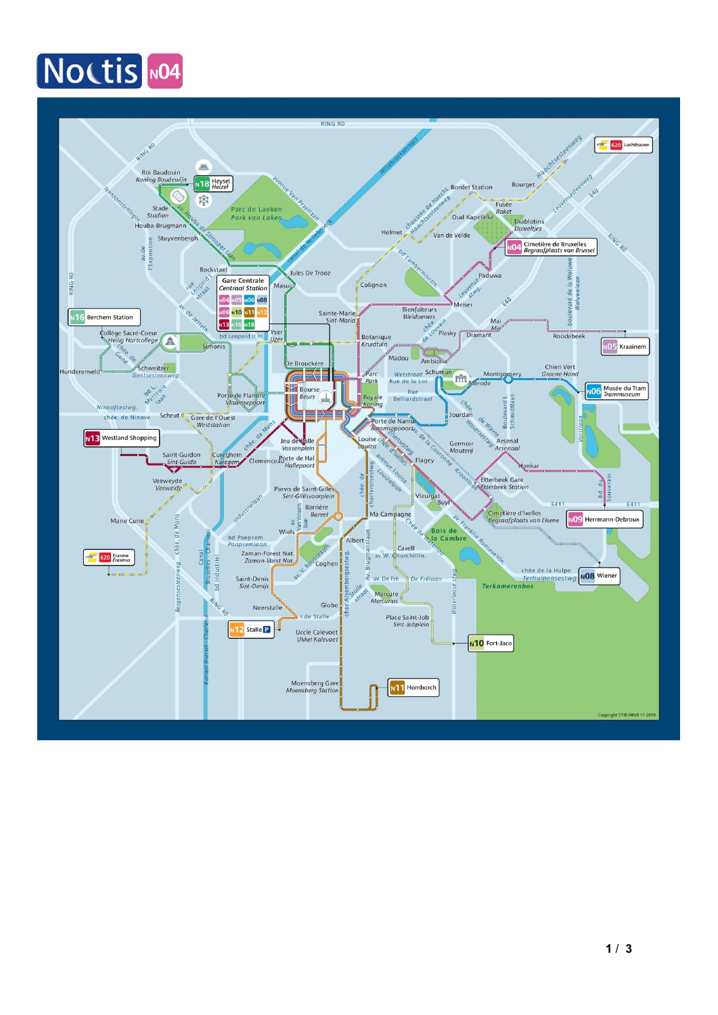### Noctis NO4

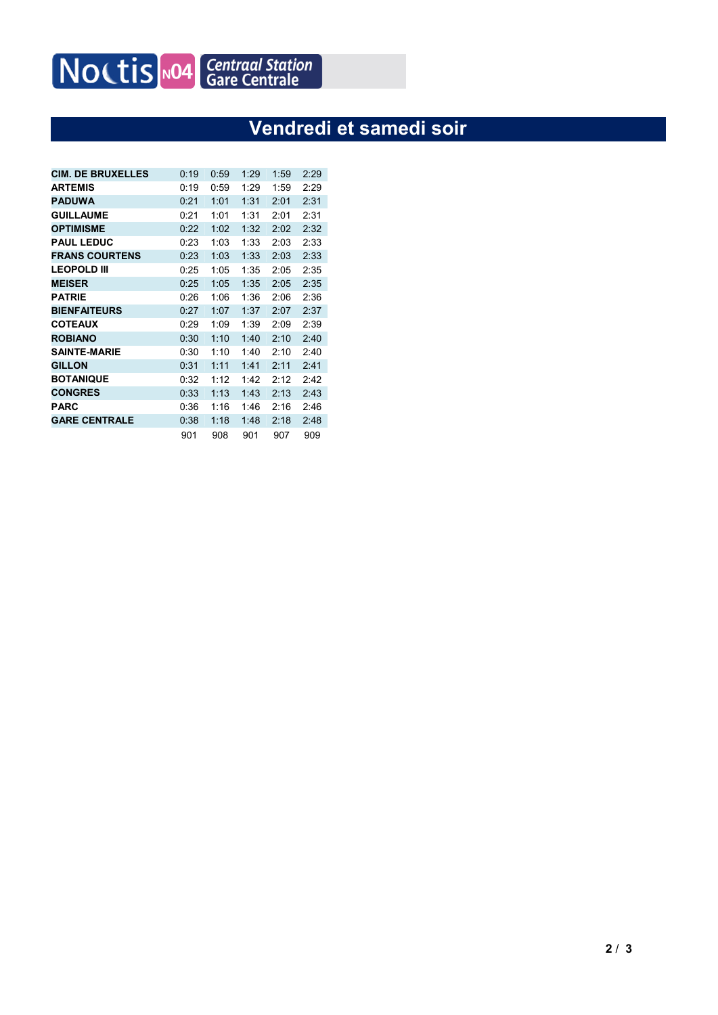## Noctis NO4 Centraal Station

#### **Vendredi et samedi soir**

| <b>CIM. DE BRUXELLES</b> | 0:19 | 0:59 | 1:29 | 1:59 | 2:29 |
|--------------------------|------|------|------|------|------|
| <b>ARTEMIS</b>           | 0:19 | 0:59 | 1:29 | 1:59 | 2:29 |
| <b>PADUWA</b>            | 0:21 | 1:01 | 1:31 | 2:01 | 2:31 |
| <b>GUILLAUME</b>         | 0:21 | 1:01 | 1:31 | 2:01 | 2:31 |
| <b>OPTIMISME</b>         | 0:22 | 1:02 | 1:32 | 2:02 | 2:32 |
| <b>PAUL LEDUC</b>        | 0:23 | 1:03 | 1:33 | 2:03 | 2:33 |
| <b>FRANS COURTENS</b>    | 0:23 | 1:03 | 1:33 | 2:03 | 2:33 |
| <b>LEOPOLD III</b>       | 0:25 | 1:05 | 1:35 | 2:05 | 2:35 |
| <b>MEISER</b>            | 0:25 | 1:05 | 1:35 | 2:05 | 2:35 |
| <b>PATRIE</b>            | 0:26 | 1:06 | 1:36 | 2:06 | 2:36 |
| <b>BIENFAITEURS</b>      | 0:27 | 1:07 | 1:37 | 2:07 | 2:37 |
| <b>COTEAUX</b>           | 0:29 | 1:09 | 1:39 | 2:09 | 2:39 |
| <b>ROBIANO</b>           | 0:30 | 1:10 | 1:40 | 2:10 | 2:40 |
| <b>SAINTE-MARIE</b>      | 0:30 | 1:10 | 1:40 | 2:10 | 2:40 |
| <b>GILLON</b>            | 0:31 | 1:11 | 1:41 | 2:11 | 2:41 |
| <b>BOTANIQUE</b>         | 0:32 | 1:12 | 1:42 | 2:12 | 2:42 |
| <b>CONGRES</b>           | 0:33 | 1:13 | 1:43 | 2:13 | 2:43 |
| <b>PARC</b>              | 0:36 | 1:16 | 1:46 | 2:16 | 2:46 |
| <b>GARE CENTRALE</b>     | 0:38 | 1:18 | 1:48 | 2:18 | 2:48 |
|                          | 901  | 908  | 901  | 907  | 909  |